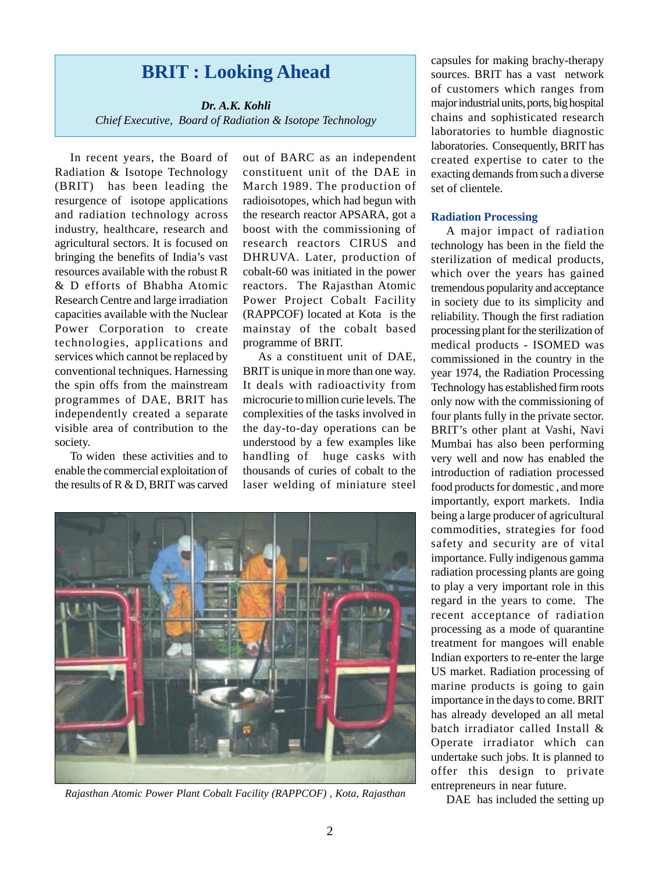# **BRIT : Looking Ahead**

*Dr. A.K. Kohli Chief Executive, Board of Radiation & Isotope Technology*

In recent years, the Board of Radiation & Isotope Technology (BRIT) has been leading the resurgence of isotope applications and radiation technology across industry, healthcare, research and agricultural sectors. It is focused on bringing the benefits of India's vast resources available with the robust R & D efforts of Bhabha Atomic Research Centre and large irradiation capacities available with the Nuclear Power Corporation to create technologies, applications and services which cannot be replaced by conventional techniques. Harnessing the spin offs from the mainstream programmes of DAE, BRIT has independently created a separate visible area of contribution to the society.

To widen these activities and to enable the commercial exploitation of the results of R & D, BRIT was carved

out of BARC as an independent constituent unit of the DAE in March 1989. The production of radioisotopes, which had begun with the research reactor APSARA, got a boost with the commissioning of research reactors CIRUS and DHRUVA. Later, production of cobalt-60 was initiated in the power reactors. The Rajasthan Atomic Power Project Cobalt Facility (RAPPCOF) located at Kota is the mainstay of the cobalt based programme of BRIT.

As a constituent unit of DAE, BRIT is unique in more than one way. It deals with radioactivity from microcurie to million curie levels. The complexities of the tasks involved in the day-to-day operations can be understood by a few examples like handling of huge casks with thousands of curies of cobalt to the laser welding of miniature steel



*Rajasthan Atomic Power Plant Cobalt Facility (RAPPCOF) , Kota, Rajasthan*

capsules for making brachy-therapy sources. BRIT has a vast network of customers which ranges from major industrial units, ports, big hospital chains and sophisticated research laboratories to humble diagnostic laboratories. Consequently, BRIT has created expertise to cater to the exacting demands from such a diverse set of clientele.

#### **Radiation Processing**

A major impact of radiation technology has been in the field the sterilization of medical products, which over the years has gained tremendous popularity and acceptance in society due to its simplicity and reliability. Though the first radiation processing plant for the sterilization of medical products - ISOMED was commissioned in the country in the year 1974, the Radiation Processing Technology has established firm roots only now with the commissioning of four plants fully in the private sector. BRIT's other plant at Vashi, Navi Mumbai has also been performing very well and now has enabled the introduction of radiation processed food products for domestic , and more importantly, export markets. India being a large producer of agricultural commodities, strategies for food safety and security are of vital importance. Fully indigenous gamma radiation processing plants are going to play a very important role in this regard in the years to come. The recent acceptance of radiation processing as a mode of quarantine treatment for mangoes will enable Indian exporters to re-enter the large US market. Radiation processing of marine products is going to gain importance in the days to come. BRIT has already developed an all metal batch irradiator called Install & Operate irradiator which can undertake such jobs. It is planned to offer this design to private entrepreneurs in near future.

DAE has included the setting up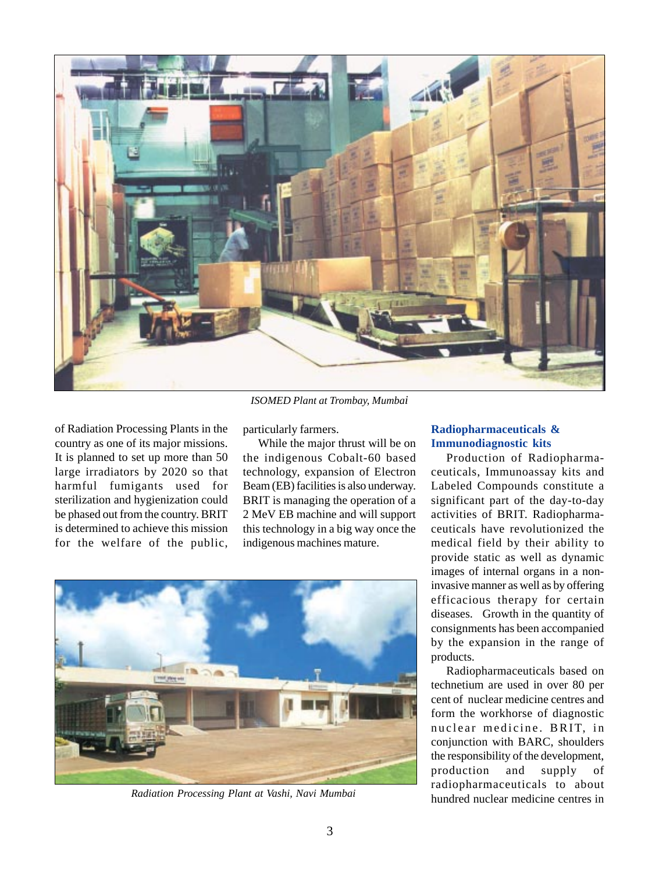

*ISOMED Plant at Trombay, Mumbai*

of Radiation Processing Plants in the country as one of its major missions. It is planned to set up more than 50 large irradiators by 2020 so that harmful fumigants used for sterilization and hygienization could be phased out from the country. BRIT is determined to achieve this mission for the welfare of the public, particularly farmers.

While the major thrust will be on the indigenous Cobalt-60 based technology, expansion of Electron Beam (EB) facilities is also underway. BRIT is managing the operation of a 2 MeV EB machine and will support this technology in a big way once the indigenous machines mature.



*Radiation Processing Plant at Vashi, Navi Mumbai*

## **Radiopharmaceuticals & Immunodiagnostic kits**

Production of Radiopharmaceuticals, Immunoassay kits and Labeled Compounds constitute a significant part of the day-to-day activities of BRIT. Radiopharmaceuticals have revolutionized the medical field by their ability to provide static as well as dynamic images of internal organs in a noninvasive manner as well as by offering efficacious therapy for certain diseases. Growth in the quantity of consignments has been accompanied by the expansion in the range of products.

Radiopharmaceuticals based on technetium are used in over 80 per cent of nuclear medicine centres and form the workhorse of diagnostic nuclear medicine. BRIT, in conjunction with BARC, shoulders the responsibility of the development, production and supply of radiopharmaceuticals to about hundred nuclear medicine centres in